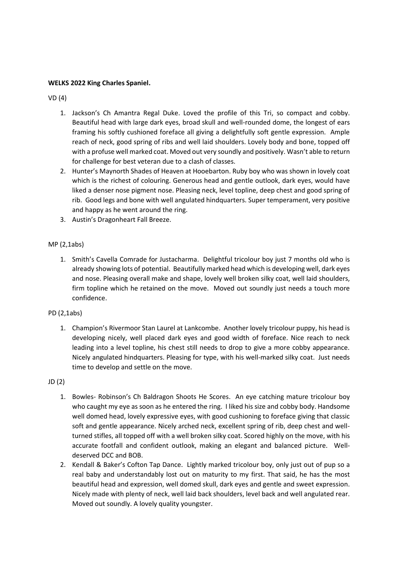#### **WELKS 2022 King Charles Spaniel.**

VD (4)

- 1. Jackson's Ch Amantra Regal Duke. Loved the profile of this Tri, so compact and cobby. Beautiful head with large dark eyes, broad skull and well-rounded dome, the longest of ears framing his softly cushioned foreface all giving a delightfully soft gentle expression. Ample reach of neck, good spring of ribs and well laid shoulders. Lovely body and bone, topped off with a profuse well marked coat. Moved out very soundly and positively. Wasn't able to return for challenge for best veteran due to a clash of classes.
- 2. Hunter's Maynorth Shades of Heaven at Hooebarton. Ruby boy who was shown in lovely coat which is the richest of colouring. Generous head and gentle outlook, dark eyes, would have liked a denser nose pigment nose. Pleasing neck, level topline, deep chest and good spring of rib. Good legs and bone with well angulated hindquarters. Super temperament, very positive and happy as he went around the ring.
- 3. Austin's Dragonheart Fall Breeze.

#### MP (2,1abs)

1. Smith's Cavella Comrade for Justacharma. Delightful tricolour boy just 7 months old who is already showing lots of potential. Beautifully marked head which is developing well, dark eyes and nose. Pleasing overall make and shape, lovely well broken silky coat, well laid shoulders, firm topline which he retained on the move. Moved out soundly just needs a touch more confidence.

#### PD (2,1abs)

1. Champion's Rivermoor Stan Laurel at Lankcombe. Another lovely tricolour puppy, his head is developing nicely, well placed dark eyes and good width of foreface. Nice reach to neck leading into a level topline, his chest still needs to drop to give a more cobby appearance. Nicely angulated hindquarters. Pleasing for type, with his well-marked silky coat. Just needs time to develop and settle on the move.

JD (2)

- 1. Bowles- Robinson's Ch Baldragon Shoots He Scores. An eye catching mature tricolour boy who caught my eye as soon as he entered the ring. I liked his size and cobby body. Handsome well domed head, lovely expressive eyes, with good cushioning to foreface giving that classic soft and gentle appearance. Nicely arched neck, excellent spring of rib, deep chest and wellturned stifles, all topped off with a well broken silky coat. Scored highly on the move, with his accurate footfall and confident outlook, making an elegant and balanced picture. Welldeserved DCC and BOB.
- 2. Kendall & Baker's Cofton Tap Dance. Lightly marked tricolour boy, only just out of pup so a real baby and understandably lost out on maturity to my first. That said, he has the most beautiful head and expression, well domed skull, dark eyes and gentle and sweet expression. Nicely made with plenty of neck, well laid back shoulders, level back and well angulated rear. Moved out soundly. A lovely quality youngster.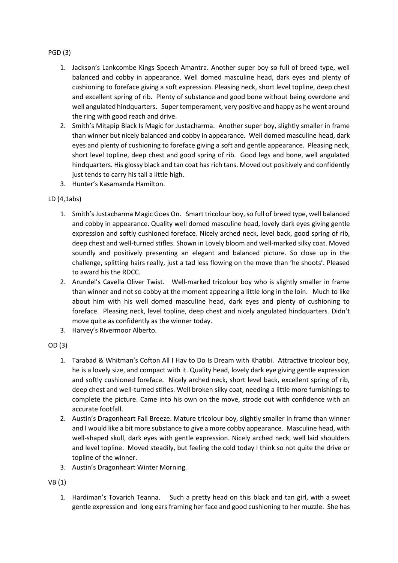# PGD (3)

- 1. Jackson's Lankcombe Kings Speech Amantra. Another super boy so full of breed type, well balanced and cobby in appearance. Well domed masculine head, dark eyes and plenty of cushioning to foreface giving a soft expression. Pleasing neck, short level topline, deep chest and excellent spring of rib. Plenty of substance and good bone without being overdone and well angulated hindquarters. Super temperament, very positive and happy as he went around the ring with good reach and drive.
- 2. Smith's Mitapip Black Is Magic for Justacharma. Another super boy, slightly smaller in frame than winner but nicely balanced and cobby in appearance. Well domed masculine head, dark eyes and plenty of cushioning to foreface giving a soft and gentle appearance. Pleasing neck, short level topline, deep chest and good spring of rib. Good legs and bone, well angulated hindquarters. His glossy black and tan coat has rich tans. Moved out positively and confidently just tends to carry his tail a little high.
- 3. Hunter's Kasamanda Hamilton.

# LD (4,1abs)

- 1. Smith's Justacharma Magic Goes On. Smart tricolour boy, so full of breed type, well balanced and cobby in appearance. Quality well domed masculine head, lovely dark eyes giving gentle expression and softly cushioned foreface. Nicely arched neck, level back, good spring of rib, deep chest and well-turned stifles. Shown in Lovely bloom and well-marked silky coat. Moved soundly and positively presenting an elegant and balanced picture. So close up in the challenge, splitting hairs really, just a tad less flowing on the move than 'he shoots'. Pleased to award his the RDCC.
- 2. Arundel's Cavella Oliver Twist. Well-marked tricolour boy who is slightly smaller in frame than winner and not so cobby at the moment appearing a little long in the loin. Much to like about him with his well domed masculine head, dark eyes and plenty of cushioning to foreface. Pleasing neck, level topline, deep chest and nicely angulated hindquarters. Didn't move quite as confidently as the winner today.
- 3. Harvey's Rivermoor Alberto.

# OD (3)

- 1. Tarabad & Whitman's Cofton All I Hav to Do Is Dream with Khatibi. Attractive tricolour boy, he is a lovely size, and compact with it. Quality head, lovely dark eye giving gentle expression and softly cushioned foreface. Nicely arched neck, short level back, excellent spring of rib, deep chest and well-turned stifles. Well broken silky coat, needing a little more furnishings to complete the picture. Came into his own on the move, strode out with confidence with an accurate footfall.
- 2. Austin's Dragonheart Fall Breeze. Mature tricolour boy, slightly smaller in frame than winner and I would like a bit more substance to give a more cobby appearance. Masculine head, with well-shaped skull, dark eyes with gentle expression. Nicely arched neck, well laid shoulders and level topline. Moved steadily, but feeling the cold today I think so not quite the drive or topline of the winner.
- 3. Austin's Dragonheart Winter Morning.

VB (1)

1. Hardiman's Tovarich Teanna. Such a pretty head on this black and tan girl, with a sweet gentle expression and long ears framing her face and good cushioning to her muzzle. She has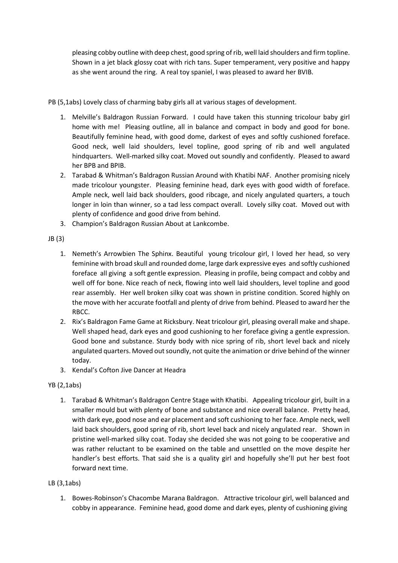pleasing cobby outline with deep chest, good spring of rib, well laid shoulders and firm topline. Shown in a jet black glossy coat with rich tans. Super temperament, very positive and happy as she went around the ring. A real toy spaniel, I was pleased to award her BVIB.

PB (5,1abs) Lovely class of charming baby girls all at various stages of development.

- 1. Melville's Baldragon Russian Forward. I could have taken this stunning tricolour baby girl home with me! Pleasing outline, all in balance and compact in body and good for bone. Beautifully feminine head, with good dome, darkest of eyes and softly cushioned foreface. Good neck, well laid shoulders, level topline, good spring of rib and well angulated hindquarters. Well-marked silky coat. Moved out soundly and confidently. Pleased to award her BPB and BPIB.
- 2. Tarabad & Whitman's Baldragon Russian Around with Khatibi NAF. Another promising nicely made tricolour youngster. Pleasing feminine head, dark eyes with good width of foreface. Ample neck, well laid back shoulders, good ribcage, and nicely angulated quarters, a touch longer in loin than winner, so a tad less compact overall. Lovely silky coat. Moved out with plenty of confidence and good drive from behind.
- 3. Champion's Baldragon Russian About at Lankcombe.

JB (3)

- 1. Nemeth's Arrowbien The Sphinx. Beautiful young tricolour girl, I loved her head, so very feminine with broad skull and rounded dome, large dark expressive eyes and softly cushioned foreface all giving a soft gentle expression. Pleasing in profile, being compact and cobby and well off for bone. Nice reach of neck, flowing into well laid shoulders, level topline and good rear assembly. Her well broken silky coat was shown in pristine condition. Scored highly on the move with her accurate footfall and plenty of drive from behind. Pleased to award her the RBCC.
- 2. Rix's Baldragon Fame Game at Ricksbury. Neat tricolour girl, pleasing overall make and shape. Well shaped head, dark eyes and good cushioning to her foreface giving a gentle expression. Good bone and substance. Sturdy body with nice spring of rib, short level back and nicely angulated quarters. Moved out soundly, not quite the animation or drive behind of the winner today.
- 3. Kendal's Cofton Jive Dancer at Headra

# YB (2,1abs)

1. Tarabad & Whitman's Baldragon Centre Stage with Khatibi. Appealing tricolour girl, built in a smaller mould but with plenty of bone and substance and nice overall balance. Pretty head, with dark eye, good nose and ear placement and soft cushioning to her face. Ample neck, well laid back shoulders, good spring of rib, short level back and nicely angulated rear. Shown in pristine well-marked silky coat. Today she decided she was not going to be cooperative and was rather reluctant to be examined on the table and unsettled on the move despite her handler's best efforts. That said she is a quality girl and hopefully she'll put her best foot forward next time.

# LB (3,1abs)

1. Bowes-Robinson's Chacombe Marana Baldragon. Attractive tricolour girl, well balanced and cobby in appearance. Feminine head, good dome and dark eyes, plenty of cushioning giving